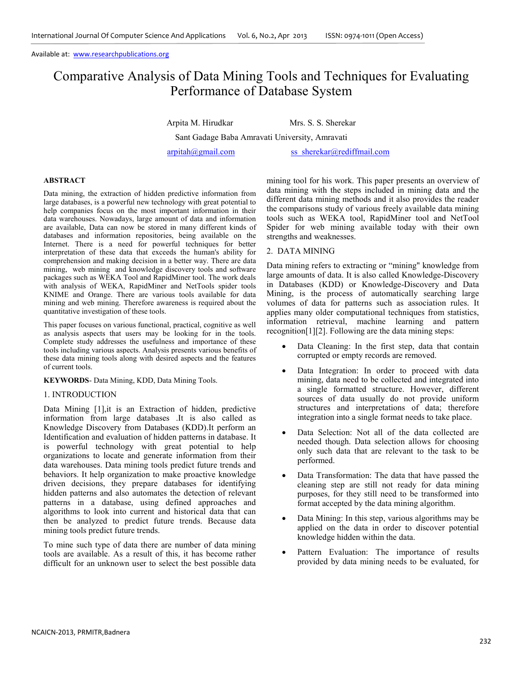# Comparative Analysis of Data Mining Tools and Techniques for Evaluating Performance of Database System

Arpita M. Hirudkar Mrs. S. S. Sherekar

Sant Gadage Baba Amravati University, Amravati

arpitah@gmail.com ss\_sherekar@rediffmail.com

## **ABSTRACT**

Data mining, the extraction of hidden predictive information from large databases, is a powerful new technology with great potential to help companies focus on the most important information in their data warehouses. Nowadays, large amount of data and information are available, Data can now be stored in many different kinds of databases and information repositories, being available on the Internet. There is a need for powerful techniques for better interpretation of these data that exceeds the human's ability for comprehension and making decision in a better way. There are data mining, web mining and knowledge discovery tools and software packages such as WEKA Tool and RapidMiner tool. The work deals with analysis of WEKA, RapidMiner and NetTools spider tools KNIME and Orange. There are various tools available for data mining and web mining. Therefore awareness is required about the quantitative investigation of these tools.

This paper focuses on various functional, practical, cognitive as well as analysis aspects that users may be looking for in the tools. Complete study addresses the usefulness and importance of these tools including various aspects. Analysis presents various benefits of these data mining tools along with desired aspects and the features of current tools.

**KEYWORDS**- Data Mining, KDD, Data Mining Tools.

# 1. INTRODUCTION

Data Mining [1],it is an Extraction of hidden, predictive information from large databases .It is also called as Knowledge Discovery from Databases (KDD).It perform an Identification and evaluation of hidden patterns in database. It is powerful technology with great potential to help organizations to locate and generate information from their data warehouses. Data mining tools predict future trends and behaviors. It help organization to make proactive knowledge driven decisions, they prepare databases for identifying hidden patterns and also automates the detection of relevant patterns in a database, using defined approaches and algorithms to look into current and historical data that can then be analyzed to predict future trends. Because data mining tools predict future trends.

To mine such type of data there are number of data mining tools are available. As a result of this, it has become rather difficult for an unknown user to select the best possible data mining tool for his work. This paper presents an overview of data mining with the steps included in mining data and the different data mining methods and it also provides the reader the comparisons study of various freely available data mining tools such as WEKA tool, RapidMiner tool and NetTool Spider for web mining available today with their own strengths and weaknesses.

# 2. DATA MINING

Data mining refers to extracting or "mining" knowledge from large amounts of data. It is also called Knowledge-Discovery in Databases (KDD) or Knowledge-Discovery and Data Mining, is the process of automatically searching large volumes of data for patterns such as association rules. It applies many older computational techniques from statistics, information retrieval, machine learning and pattern recognition[1][2]. Following are the data mining steps:

- Data Cleaning: In the first step, data that contain corrupted or empty records are removed.
- Data Integration: In order to proceed with data mining, data need to be collected and integrated into a single formatted structure. However, different sources of data usually do not provide uniform structures and interpretations of data; therefore integration into a single format needs to take place.
- Data Selection: Not all of the data collected are needed though. Data selection allows for choosing only such data that are relevant to the task to be performed.
- Data Transformation: The data that have passed the cleaning step are still not ready for data mining purposes, for they still need to be transformed into format accepted by the data mining algorithm.
- Data Mining: In this step, various algorithms may be applied on the data in order to discover potential knowledge hidden within the data.
- Pattern Evaluation: The importance of results provided by data mining needs to be evaluated, for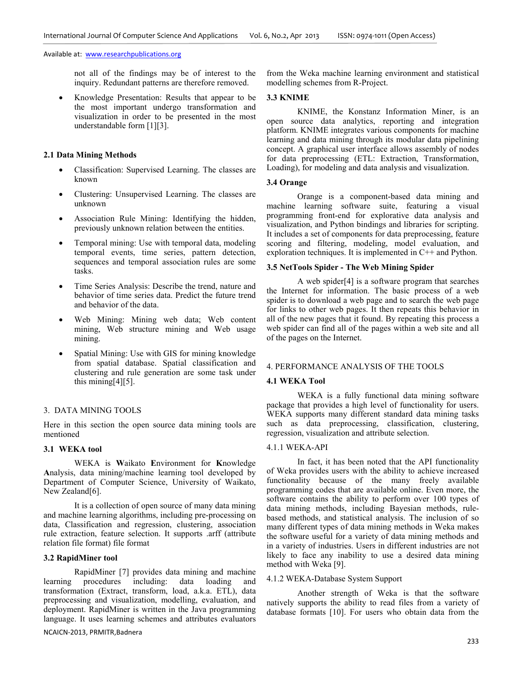not all of the findings may be of interest to the inquiry. Redundant patterns are therefore removed.

• Knowledge Presentation: Results that appear to be the most important undergo transformation and visualization in order to be presented in the most understandable form [1][3].

# **2.1 Data Mining Methods**

- Classification: Supervised Learning. The classes are known
- Clustering: Unsupervised Learning. The classes are unknown
- Association Rule Mining: Identifying the hidden, previously unknown relation between the entities.
- Temporal mining: Use with temporal data, modeling temporal events, time series, pattern detection, sequences and temporal association rules are some tasks.
- Time Series Analysis: Describe the trend, nature and behavior of time series data. Predict the future trend and behavior of the data.
- Web Mining: Mining web data; Web content mining, Web structure mining and Web usage mining.
- Spatial Mining: Use with GIS for mining knowledge from spatial database. Spatial classification and clustering and rule generation are some task under this mining  $[4]$ [5].

## 3. DATA MINING TOOLS

Here in this section the open source data mining tools are mentioned

# **3.1 WEKA tool**

WEKA is **W**aikato **E**nvironment for **K**nowledge **A**nalysis, data mining/machine learning tool developed by Department of Computer Science, University of Waikato, New Zealand[6].

It is a collection of open source of many data mining and machine learning algorithms, including pre-processing on data, Classification and regression, clustering, association rule extraction, feature selection. It supports .arff (attribute relation file format) file format

#### **3.2 RapidMiner tool**

RapidMiner [7] provides data mining and machine learning procedures including: data loading and transformation (Extract, transform, load, a.k.a. ETL), data preprocessing and visualization, modelling, evaluation, and deployment. RapidMiner is written in the Java programming language. It uses learning schemes and attributes evaluators

NCAICN-2013, PRMITR,Badnera

from the Weka machine learning environment and statistical modelling schemes from R-Project.

## **3.3 KNIME**

 KNIME, the Konstanz Information Miner, is an open source data analytics, reporting and integration platform. KNIME integrates various components for machine learning and data mining through its modular data pipelining concept. A graphical user interface allows assembly of nodes for data preprocessing (ETL: Extraction, Transformation, Loading), for modeling and data analysis and visualization.

## **3.4 Orange**

Orange is a component-based data mining and machine learning software suite, featuring a visual programming front-end for explorative data analysis and visualization, and Python bindings and libraries for scripting. It includes a set of components for data preprocessing, feature scoring and filtering, modeling, model evaluation, and exploration techniques. It is implemented in C++ and Python.

# **3.5 NetTools Spider - The Web Mining Spider**

A web spider[4] is a software program that searches the Internet for information. The basic process of a web spider is to download a web page and to search the web page for links to other web pages. It then repeats this behavior in all of the new pages that it found. By repeating this process a web spider can find all of the pages within a web site and all of the pages on the Internet.

## 4. PERFORMANCE ANALYSIS OF THE TOOLS

## **4.1 WEKA Tool**

WEKA is a fully functional data mining software package that provides a high level of functionality for users. WEKA supports many different standard data mining tasks such as data preprocessing, classification, clustering, regression, visualization and attribute selection.

## 4.1.1 WEKA-API

In fact, it has been noted that the API functionality of Weka provides users with the ability to achieve increased functionality because of the many freely available programming codes that are available online. Even more, the software contains the ability to perform over 100 types of data mining methods, including Bayesian methods, rulebased methods, and statistical analysis. The inclusion of so many different types of data mining methods in Weka makes the software useful for a variety of data mining methods and in a variety of industries. Users in different industries are not likely to face any inability to use a desired data mining method with Weka [9].

# 4.1.2 WEKA-Database System Support

Another strength of Weka is that the software natively supports the ability to read files from a variety of database formats [10]. For users who obtain data from the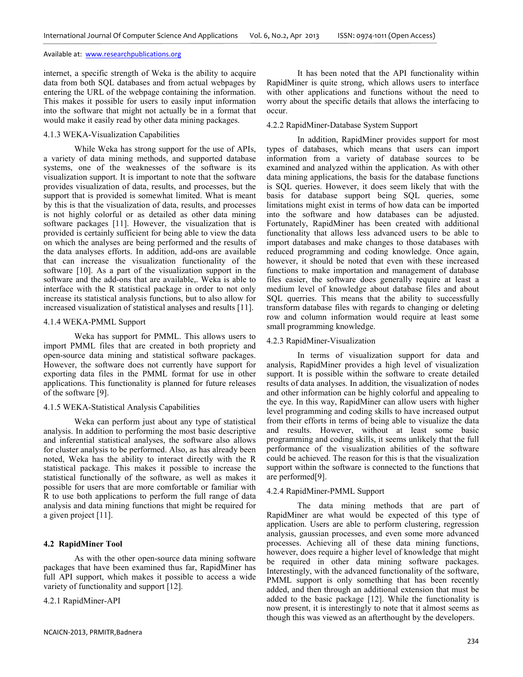internet, a specific strength of Weka is the ability to acquire data from both SQL databases and from actual webpages by entering the URL of the webpage containing the information. This makes it possible for users to easily input information into the software that might not actually be in a format that would make it easily read by other data mining packages.

## 4.1.3 WEKA-Visualization Capabilities

While Weka has strong support for the use of APIs, a variety of data mining methods, and supported database systems, one of the weaknesses of the software is its visualization support. It is important to note that the software provides visualization of data, results, and processes, but the support that is provided is somewhat limited. What is meant by this is that the visualization of data, results, and processes is not highly colorful or as detailed as other data mining software packages [11]. However, the visualization that is provided is certainly sufficient for being able to view the data on which the analyses are being performed and the results of the data analyses efforts. In addition, add-ons are available that can increase the visualization functionality of the software [10]. As a part of the visualization support in the software and the add-ons that are available,. Weka is able to interface with the R statistical package in order to not only increase its statistical analysis functions, but to also allow for increased visualization of statistical analyses and results [11].

## 4.1.4 WEKA-PMML Support

Weka has support for PMML. This allows users to import PMML files that are created in both propriety and open-source data mining and statistical software packages. However, the software does not currently have support for exporting data files in the PMML format for use in other applications. This functionality is planned for future releases of the software [9].

# 4.1.5 WEKA-Statistical Analysis Capabilities

Weka can perform just about any type of statistical analysis. In addition to performing the most basic descriptive and inferential statistical analyses, the software also allows for cluster analysis to be performed. Also, as has already been noted, Weka has the ability to interact directly with the R statistical package. This makes it possible to increase the statistical functionally of the software, as well as makes it possible for users that are more comfortable or familiar with R to use both applications to perform the full range of data analysis and data mining functions that might be required for a given project [11].

# **4.2 RapidMiner Tool**

As with the other open-source data mining software packages that have been examined thus far, RapidMiner has full API support, which makes it possible to access a wide variety of functionality and support [12].

4.2.1 RapidMiner-API

It has been noted that the API functionality within RapidMiner is quite strong, which allows users to interface with other applications and functions without the need to worry about the specific details that allows the interfacing to occur.

## 4.2.2 RapidMiner-Database System Support

In addition, RapidMiner provides support for most types of databases, which means that users can import information from a variety of database sources to be examined and analyzed within the application. As with other data mining applications, the basis for the database functions is SQL queries. However, it does seem likely that with the basis for database support being SQL queries, some limitations might exist in terms of how data can be imported into the software and how databases can be adjusted. Fortunately, RapidMiner has been created with additional functionality that allows less advanced users to be able to import databases and make changes to those databases with reduced programming and coding knowledge. Once again, however, it should be noted that even with these increased functions to make importation and management of database files easier, the software does generally require at least a medium level of knowledge about database files and about SQL querries. This means that the ability to successfully transform database files with regards to changing or deleting row and column information would require at least some small programming knowledge.

# 4.2.3 RapidMiner-Visualization

In terms of visualization support for data and analysis, RapidMiner provides a high level of visualization support. It is possible within the software to create detailed results of data analyses. In addition, the visualization of nodes and other information can be highly colorful and appealing to the eye. In this way, RapidMiner can allow users with higher level programming and coding skills to have increased output from their efforts in terms of being able to visualize the data and results. However, without at least some basic programming and coding skills, it seems unlikely that the full performance of the visualization abilities of the software could be achieved. The reason for this is that the visualization support within the software is connected to the functions that are performed[9].

# 4.2.4 RapidMiner-PMML Support

The data mining methods that are part of RapidMiner are what would be expected of this type of application. Users are able to perform clustering, regression analysis, gaussian processes, and even some more advanced processes. Achieving all of these data mining functions, however, does require a higher level of knowledge that might be required in other data mining software packages. Interestingly, with the advanced functionality of the software, PMML support is only something that has been recently added, and then through an additional extension that must be added to the basic package [12]. While the functionality is now present, it is interestingly to note that it almost seems as though this was viewed as an afterthought by the developers.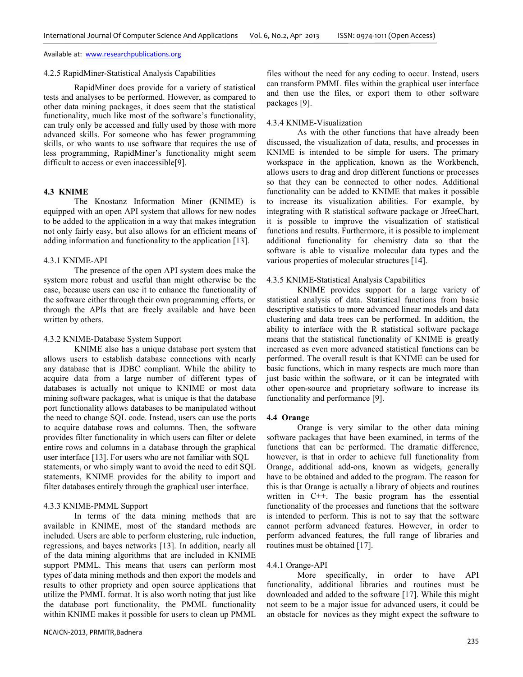#### 4.2.5 RapidMiner-Statistical Analysis Capabilities

RapidMiner does provide for a variety of statistical tests and analyses to be performed. However, as compared to other data mining packages, it does seem that the statistical functionality, much like most of the software's functionality, can truly only be accessed and fully used by those with more advanced skills. For someone who has fewer programming skills, or who wants to use software that requires the use of less programming, RapidMiner's functionality might seem difficult to access or even inaccessible[9].

# **4.3 KNIME**

The Knostanz Information Miner (KNIME) is equipped with an open API system that allows for new nodes to be added to the application in a way that makes integration not only fairly easy, but also allows for an efficient means of adding information and functionality to the application [13].

## 4.3.1 KNIME-API

The presence of the open API system does make the system more robust and useful than might otherwise be the case, because users can use it to enhance the functionality of the software either through their own programming efforts, or through the APIs that are freely available and have been written by others.

## 4.3.2 KNIME-Database System Support

KNIME also has a unique database port system that allows users to establish database connections with nearly any database that is JDBC compliant. While the ability to acquire data from a large number of different types of databases is actually not unique to KNIME or most data mining software packages, what is unique is that the database port functionality allows databases to be manipulated without the need to change SQL code. Instead, users can use the ports to acquire database rows and columns. Then, the software provides filter functionality in which users can filter or delete entire rows and columns in a database through the graphical user interface [13]. For users who are not familiar with SQL statements, or who simply want to avoid the need to edit SQL statements, KNIME provides for the ability to import and filter databases entirely through the graphical user interface.

## 4.3.3 KNIME-PMML Support

In terms of the data mining methods that are available in KNIME, most of the standard methods are included. Users are able to perform clustering, rule induction, regressions, and bayes networks [13]. In addition, nearly all of the data mining algorithms that are included in KNIME support PMML. This means that users can perform most types of data mining methods and then export the models and results to other propriety and open source applications that utilize the PMML format. It is also worth noting that just like the database port functionality, the PMML functionality within KNIME makes it possible for users to clean up PMML

files without the need for any coding to occur. Instead, users can transform PMML files within the graphical user interface and then use the files, or export them to other software packages [9].

# 4.3.4 KNIME-Visualization

As with the other functions that have already been discussed, the visualization of data, results, and processes in KNIME is intended to be simple for users. The primary workspace in the application, known as the Workbench, allows users to drag and drop different functions or processes so that they can be connected to other nodes. Additional functionality can be added to KNIME that makes it possible to increase its visualization abilities. For example, by integrating with R statistical software package or JfreeChart, it is possible to improve the visualization of statistical functions and results. Furthermore, it is possible to implement additional functionality for chemistry data so that the software is able to visualize molecular data types and the various properties of molecular structures [14].

#### 4.3.5 KNIME-Statistical Analysis Capabilities

KNIME provides support for a large variety of statistical analysis of data. Statistical functions from basic descriptive statistics to more advanced linear models and data clustering and data trees can be performed. In addition, the ability to interface with the R statistical software package means that the statistical functionality of KNIME is greatly increased as even more advanced statistical functions can be performed. The overall result is that KNIME can be used for basic functions, which in many respects are much more than just basic within the software, or it can be integrated with other open-source and proprietary software to increase its functionality and performance [9].

#### **4.4 Orange**

Orange is very similar to the other data mining software packages that have been examined, in terms of the functions that can be performed. The dramatic difference, however, is that in order to achieve full functionality from Orange, additional add-ons, known as widgets, generally have to be obtained and added to the program. The reason for this is that Orange is actually a library of objects and routines written in C++. The basic program has the essential functionality of the processes and functions that the software is intended to perform. This is not to say that the software cannot perform advanced features. However, in order to perform advanced features, the full range of libraries and routines must be obtained [17].

#### 4.4.1 Orange-API

More specifically, in order to have API functionality, additional libraries and routines must be downloaded and added to the software [17]. While this might not seem to be a major issue for advanced users, it could be an obstacle for novices as they might expect the software to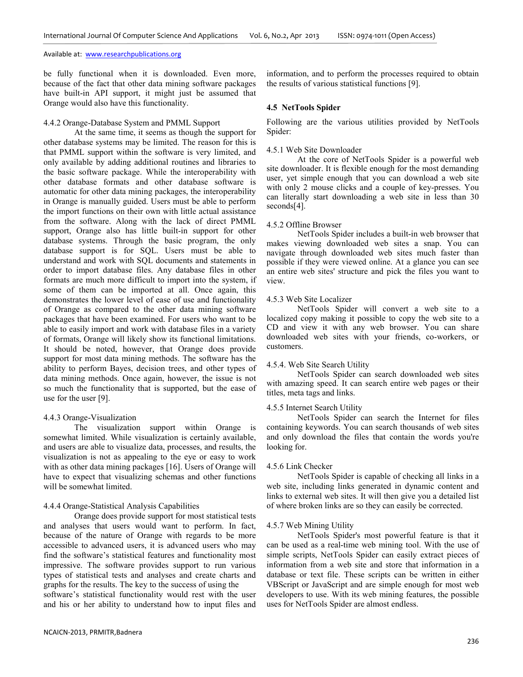be fully functional when it is downloaded. Even more, because of the fact that other data mining software packages have built-in API support, it might just be assumed that Orange would also have this functionality.

## 4.4.2 Orange-Database System and PMML Support

At the same time, it seems as though the support for other database systems may be limited. The reason for this is that PMML support within the software is very limited, and only available by adding additional routines and libraries to the basic software package. While the interoperability with other database formats and other database software is automatic for other data mining packages, the interoperability in Orange is manually guided. Users must be able to perform the import functions on their own with little actual assistance from the software. Along with the lack of direct PMML support, Orange also has little built-in support for other database systems. Through the basic program, the only database support is for SQL. Users must be able to understand and work with SQL documents and statements in order to import database files. Any database files in other formats are much more difficult to import into the system, if some of them can be imported at all. Once again, this demonstrates the lower level of ease of use and functionality of Orange as compared to the other data mining software packages that have been examined. For users who want to be able to easily import and work with database files in a variety of formats, Orange will likely show its functional limitations. It should be noted, however, that Orange does provide support for most data mining methods. The software has the ability to perform Bayes, decision trees, and other types of data mining methods. Once again, however, the issue is not so much the functionality that is supported, but the ease of use for the user [9].

## 4.4.3 Orange-Visualization

The visualization support within Orange is somewhat limited. While visualization is certainly available, and users are able to visualize data, processes, and results, the visualization is not as appealing to the eye or easy to work with as other data mining packages [16]. Users of Orange will have to expect that visualizing schemas and other functions will be somewhat limited.

## 4.4.4 Orange-Statistical Analysis Capabilities

Orange does provide support for most statistical tests and analyses that users would want to perform. In fact, because of the nature of Orange with regards to be more accessible to advanced users, it is advanced users who may find the software's statistical features and functionality most impressive. The software provides support to run various types of statistical tests and analyses and create charts and graphs for the results. The key to the success of using the software's statistical functionality would rest with the user and his or her ability to understand how to input files and information, and to perform the processes required to obtain the results of various statistical functions [9].

## **4.5 NetTools Spider**

Following are the various utilities provided by NetTools Spider:

## 4.5.1 Web Site Downloader

At the core of NetTools Spider is a powerful web site downloader. It is flexible enough for the most demanding user, yet simple enough that you can download a web site with only 2 mouse clicks and a couple of key-presses. You can literally start downloading a web site in less than 30 seconds[4].

#### 4.5.2 Offline Browser

 NetTools Spider includes a built-in web browser that makes viewing downloaded web sites a snap. You can navigate through downloaded web sites much faster than possible if they were viewed online. At a glance you can see an entire web sites' structure and pick the files you want to view.

#### 4.5.3 Web Site Localizer

 NetTools Spider will convert a web site to a localized copy making it possible to copy the web site to a CD and view it with any web browser. You can share downloaded web sites with your friends, co-workers, or customers.

#### 4.5.4. Web Site Search Utility

NetTools Spider can search downloaded web sites with amazing speed. It can search entire web pages or their titles, meta tags and links.

## 4.5.5 Internet Search Utility

NetTools Spider can search the Internet for files containing keywords. You can search thousands of web sites and only download the files that contain the words you're looking for.

#### 4.5.6 Link Checker

 NetTools Spider is capable of checking all links in a web site, including links generated in dynamic content and links to external web sites. It will then give you a detailed list of where broken links are so they can easily be corrected.

#### 4.5.7 Web Mining Utility

NetTools Spider's most powerful feature is that it can be used as a real-time web mining tool. With the use of simple scripts, NetTools Spider can easily extract pieces of information from a web site and store that information in a database or text file. These scripts can be written in either VBScript or JavaScript and are simple enough for most web developers to use. With its web mining features, the possible uses for NetTools Spider are almost endless.